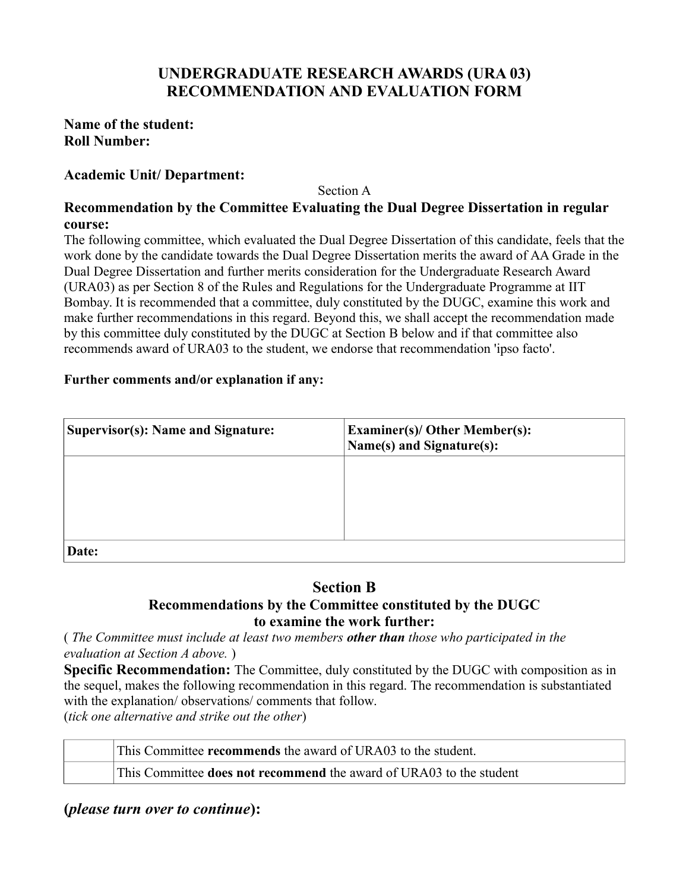# **UNDERGRADUATE RESEARCH AWARDS (URA 03) RECOMMENDATION AND EVALUATION FORM**

## **Name of the student: Roll Number:**

## **Academic Unit/ Department:**

Section A

## **Recommendation by the Committee Evaluating the Dual Degree Dissertation in regular course:**

The following committee, which evaluated the Dual Degree Dissertation of this candidate, feels that the work done by the candidate towards the Dual Degree Dissertation merits the award of AA Grade in the Dual Degree Dissertation and further merits consideration for the Undergraduate Research Award (URA03) as per Section 8 of the Rules and Regulations for the Undergraduate Programme at IIT Bombay. It is recommended that a committee, duly constituted by the DUGC, examine this work and make further recommendations in this regard. Beyond this, we shall accept the recommendation made by this committee duly constituted by the DUGC at Section B below and if that committee also recommends award of URA03 to the student, we endorse that recommendation 'ipso facto'.

#### **Further comments and/or explanation if any:**

| <b>Supervisor(s): Name and Signature:</b> | <b>Examiner(s)/ Other Member(s):</b><br>Name(s) and Signature(s): |
|-------------------------------------------|-------------------------------------------------------------------|
|                                           |                                                                   |
|                                           |                                                                   |
| Date:                                     |                                                                   |

## **Section B Recommendations by the Committee constituted by the DUGC to examine the work further:**

( *The Committee must include at least two members other than those who participated in the evaluation at Section A above.* )

**Specific Recommendation:** The Committee, duly constituted by the DUGC with composition as in the sequel, makes the following recommendation in this regard. The recommendation is substantiated with the explanation/ observations/ comments that follow. (*tick one alternative and strike out the other*)

This Committee **recommends** the award of URA03 to the student.

This Committee **does not recommend** the award of URA03 to the student

**(***please turn over to continue***):**